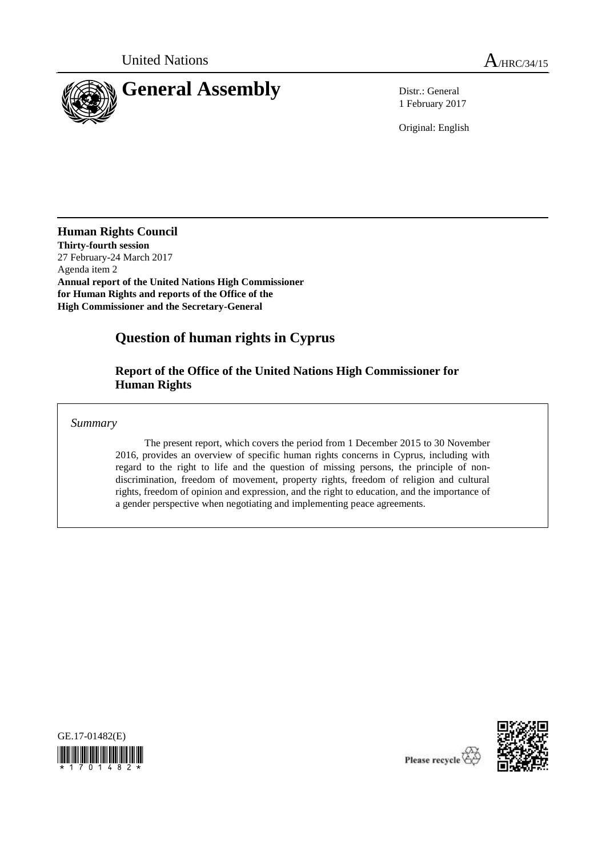

1 February 2017

Original: English

**Human Rights Council Thirty-fourth session** 27 February-24 March 2017 Agenda item 2 **Annual report of the United Nations High Commissioner for Human Rights and reports of the Office of the High Commissioner and the Secretary-General** 

# **Question of human rights in Cyprus**

**Report of the Office of the United Nations High Commissioner for Human Rights** 

*Summary*

The present report, which covers the period from 1 December 2015 to 30 November 2016, provides an overview of specific human rights concerns in Cyprus, including with regard to the right to life and the question of missing persons, the principle of nondiscrimination, freedom of movement, property rights, freedom of religion and cultural rights, freedom of opinion and expression, and the right to education, and the importance of a gender perspective when negotiating and implementing peace agreements.





Please recycle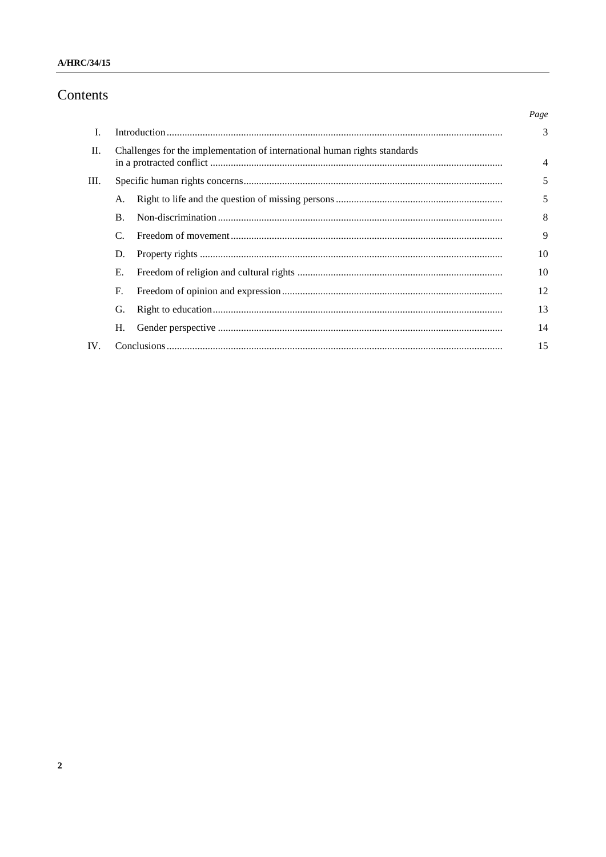### A/HRC/34/15

## Contents

|      |                                                                           |  | Page |
|------|---------------------------------------------------------------------------|--|------|
| L    |                                                                           |  | 3    |
| II.  | Challenges for the implementation of international human rights standards |  | 4    |
| III. |                                                                           |  | 5    |
|      | A.                                                                        |  | 5    |
|      | $\bf{B}$ .                                                                |  | 8    |
|      | C.                                                                        |  | 9    |
|      | D.                                                                        |  | 10   |
|      | Е.                                                                        |  | 10   |
|      | F.                                                                        |  | 12   |
|      | G.                                                                        |  | 13   |
|      | Н.                                                                        |  | 14   |
| IV.  |                                                                           |  |      |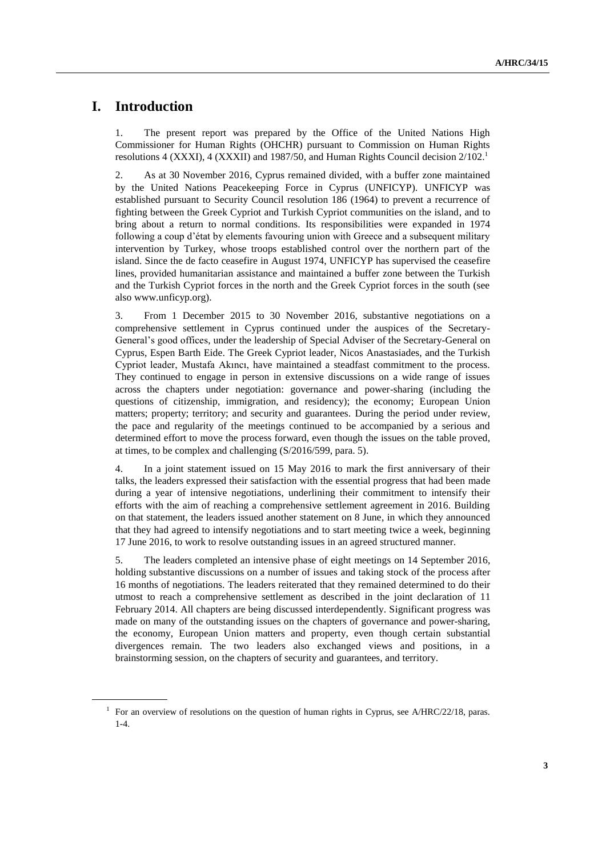### **I. Introduction**

1. The present report was prepared by the Office of the United Nations High Commissioner for Human Rights (OHCHR) pursuant to Commission on Human Rights resolutions 4 (XXXI), 4 (XXXII) and 1987/50, and Human Rights Council decision  $2/102<sup>1</sup>$ 

2. As at 30 November 2016, Cyprus remained divided, with a buffer zone maintained by the United Nations Peacekeeping Force in Cyprus (UNFICYP). UNFICYP was established pursuant to Security Council resolution 186 (1964) to prevent a recurrence of fighting between the Greek Cypriot and Turkish Cypriot communities on the island, and to bring about a return to normal conditions. Its responsibilities were expanded in 1974 following a coup d'état by elements favouring union with Greece and a subsequent military intervention by Turkey, whose troops established control over the northern part of the island. Since the de facto ceasefire in August 1974, UNFICYP has supervised the ceasefire lines, provided humanitarian assistance and maintained a buffer zone between the Turkish and the Turkish Cypriot forces in the north and the Greek Cypriot forces in the south (see also [www.unficyp.org\)](http://www.unficyp.org/).

3. From 1 December 2015 to 30 November 2016, substantive negotiations on a comprehensive settlement in Cyprus continued under the auspices of the Secretary-General's good offices, under the leadership of Special Adviser of the Secretary-General on Cyprus, Espen Barth Eide. The Greek Cypriot leader, Nicos Anastasiades, and the Turkish Cypriot leader, Mustafa Akıncı, have maintained a steadfast commitment to the process. They continued to engage in person in extensive discussions on a wide range of issues across the chapters under negotiation: governance and power-sharing (including the questions of citizenship, immigration, and residency); the economy; European Union matters; property; territory; and security and guarantees. During the period under review, the pace and regularity of the meetings continued to be accompanied by a serious and determined effort to move the process forward, even though the issues on the table proved, at times, to be complex and challenging (S/2016/599, para. 5).

4. In a joint statement issued on 15 May 2016 to mark the first anniversary of their talks, the leaders expressed their satisfaction with the essential progress that had been made during a year of intensive negotiations, underlining their commitment to intensify their efforts with the aim of reaching a comprehensive settlement agreement in 2016. Building on that statement, the leaders issued another statement on 8 June, in which they announced that they had agreed to intensify negotiations and to start meeting twice a week, beginning 17 June 2016, to work to resolve outstanding issues in an agreed structured manner.

5. The leaders completed an intensive phase of eight meetings on 14 September 2016, holding substantive discussions on a number of issues and taking stock of the process after 16 months of negotiations. The leaders reiterated that they remained determined to do their utmost to reach a comprehensive settlement as described in the joint declaration of 11 February 2014. All chapters are being discussed interdependently. Significant progress was made on many of the outstanding issues on the chapters of governance and power-sharing, the economy, European Union matters and property, even though certain substantial divergences remain. The two leaders also exchanged views and positions, in a brainstorming session, on the chapters of security and guarantees, and territory.

<sup>&</sup>lt;sup>1</sup> For an overview of resolutions on the question of human rights in Cyprus, see A/HRC/22/18, paras. 1-4.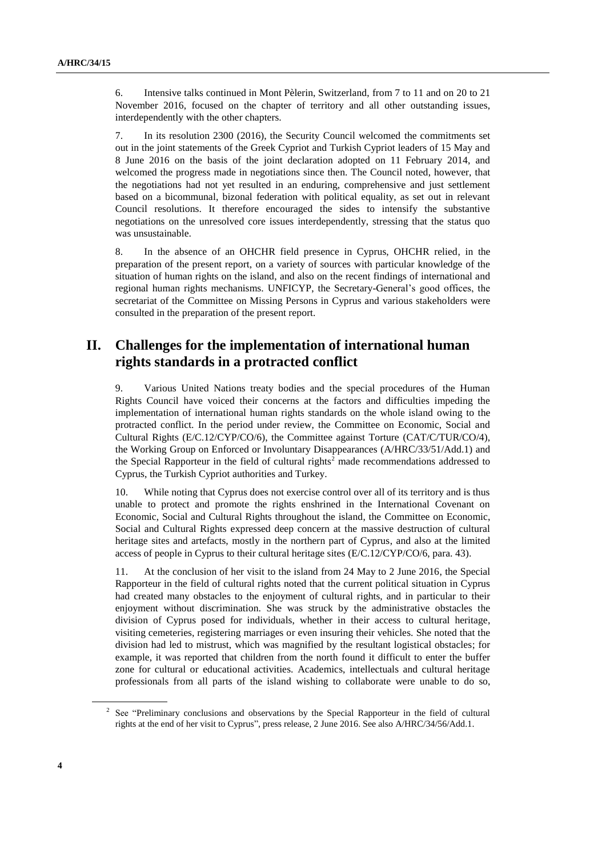6. Intensive talks continued in Mont Pèlerin, Switzerland, from 7 to 11 and on 20 to 21 November 2016, focused on the chapter of territory and all other outstanding issues, interdependently with the other chapters.

7. In its resolution 2300 (2016), the Security Council welcomed the commitments set out in the joint statements of the Greek Cypriot and Turkish Cypriot leaders of 15 May and 8 June 2016 on the basis of the joint declaration adopted on 11 February 2014, and welcomed the progress made in negotiations since then. The Council noted, however, that the negotiations had not yet resulted in an enduring, comprehensive and just settlement based on a bicommunal, bizonal federation with political equality, as set out in relevant Council resolutions. It therefore encouraged the sides to intensify the substantive negotiations on the unresolved core issues interdependently, stressing that the status quo was unsustainable.

8. In the absence of an OHCHR field presence in Cyprus, OHCHR relied, in the preparation of the present report, on a variety of sources with particular knowledge of the situation of human rights on the island, and also on the recent findings of international and regional human rights mechanisms. UNFICYP, the Secretary-General's good offices, the secretariat of the Committee on Missing Persons in Cyprus and various stakeholders were consulted in the preparation of the present report.

## **II. Challenges for the implementation of international human rights standards in a protracted conflict**

9. Various United Nations treaty bodies and the special procedures of the Human Rights Council have voiced their concerns at the factors and difficulties impeding the implementation of international human rights standards on the whole island owing to the protracted conflict. In the period under review, the Committee on Economic, Social and Cultural Rights (E/C.12/CYP/CO/6), the Committee against Torture (CAT/C/TUR/CO/4), the Working Group on Enforced or Involuntary Disappearances (A/HRC/33/51/Add.1) and the Special Rapporteur in the field of cultural rights<sup>2</sup> made recommendations addressed to Cyprus, the Turkish Cypriot authorities and Turkey.

10. While noting that Cyprus does not exercise control over all of its territory and is thus unable to protect and promote the rights enshrined in the International Covenant on Economic, Social and Cultural Rights throughout the island, the Committee on Economic, Social and Cultural Rights expressed deep concern at the massive destruction of cultural heritage sites and artefacts, mostly in the northern part of Cyprus, and also at the limited access of people in Cyprus to their cultural heritage sites (E/C.12/CYP/CO/6, para. 43).

11. At the conclusion of her visit to the island from 24 May to 2 June 2016, the Special Rapporteur in the field of cultural rights noted that the current political situation in Cyprus had created many obstacles to the enjoyment of cultural rights, and in particular to their enjoyment without discrimination. She was struck by the administrative obstacles the division of Cyprus posed for individuals, whether in their access to cultural heritage, visiting cemeteries, registering marriages or even insuring their vehicles. She noted that the division had led to mistrust, which was magnified by the resultant logistical obstacles; for example, it was reported that children from the north found it difficult to enter the buffer zone for cultural or educational activities. Academics, intellectuals and cultural heritage professionals from all parts of the island wishing to collaborate were unable to do so,

<sup>&</sup>lt;sup>2</sup> See "Preliminary conclusions and observations by the Special Rapporteur in the field of cultural rights at the end of her visit to Cyprus", press release, 2 June 2016. See also A/HRC/34/56/Add.1.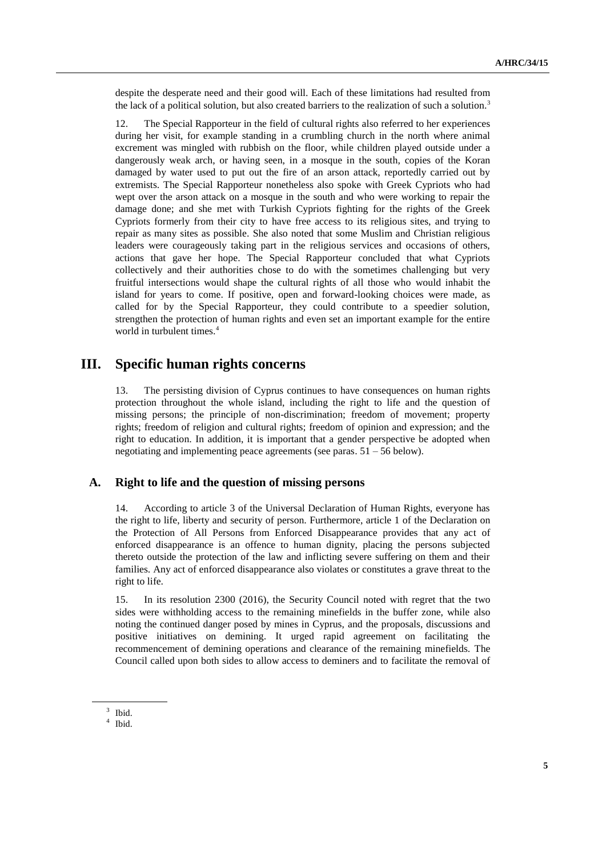despite the desperate need and their good will. Each of these limitations had resulted from the lack of a political solution, but also created barriers to the realization of such a solution.<sup>3</sup>

12. The Special Rapporteur in the field of cultural rights also referred to her experiences during her visit, for example standing in a crumbling church in the north where animal excrement was mingled with rubbish on the floor, while children played outside under a dangerously weak arch, or having seen, in a mosque in the south, copies of the Koran damaged by water used to put out the fire of an arson attack, reportedly carried out by extremists. The Special Rapporteur nonetheless also spoke with Greek Cypriots who had wept over the arson attack on a mosque in the south and who were working to repair the damage done; and she met with Turkish Cypriots fighting for the rights of the Greek Cypriots formerly from their city to have free access to its religious sites, and trying to repair as many sites as possible. She also noted that some Muslim and Christian religious leaders were courageously taking part in the religious services and occasions of others, actions that gave her hope. The Special Rapporteur concluded that what Cypriots collectively and their authorities chose to do with the sometimes challenging but very fruitful intersections would shape the cultural rights of all those who would inhabit the island for years to come. If positive, open and forward-looking choices were made, as called for by the Special Rapporteur, they could contribute to a speedier solution, strengthen the protection of human rights and even set an important example for the entire world in turbulent times.<sup>4</sup>

### **III. Specific human rights concerns**

13. The persisting division of Cyprus continues to have consequences on human rights protection throughout the whole island, including the right to life and the question of missing persons; the principle of non-discrimination; freedom of movement; property rights; freedom of religion and cultural rights; freedom of opinion and expression; and the right to education. In addition, it is important that a gender perspective be adopted when negotiating and implementing peace agreements (see paras.  $51 - 56$  below).

#### **A. Right to life and the question of missing persons**

14. According to article 3 of the Universal Declaration of Human Rights, everyone has the right to life, liberty and security of person. Furthermore, article 1 of the Declaration on the Protection of All Persons from Enforced Disappearance provides that any act of enforced disappearance is an offence to human dignity, placing the persons subjected thereto outside the protection of the law and inflicting severe suffering on them and their families. Any act of enforced disappearance also violates or constitutes a grave threat to the right to life.

15. In its resolution 2300 (2016), the Security Council noted with regret that the two sides were withholding access to the remaining minefields in the buffer zone, while also noting the continued danger posed by mines in Cyprus, and the proposals, discussions and positive initiatives on demining. It urged rapid agreement on facilitating the recommencement of demining operations and clearance of the remaining minefields. The Council called upon both sides to allow access to deminers and to facilitate the removal of

<sup>3</sup> Ibid.

<sup>4</sup> Ibid.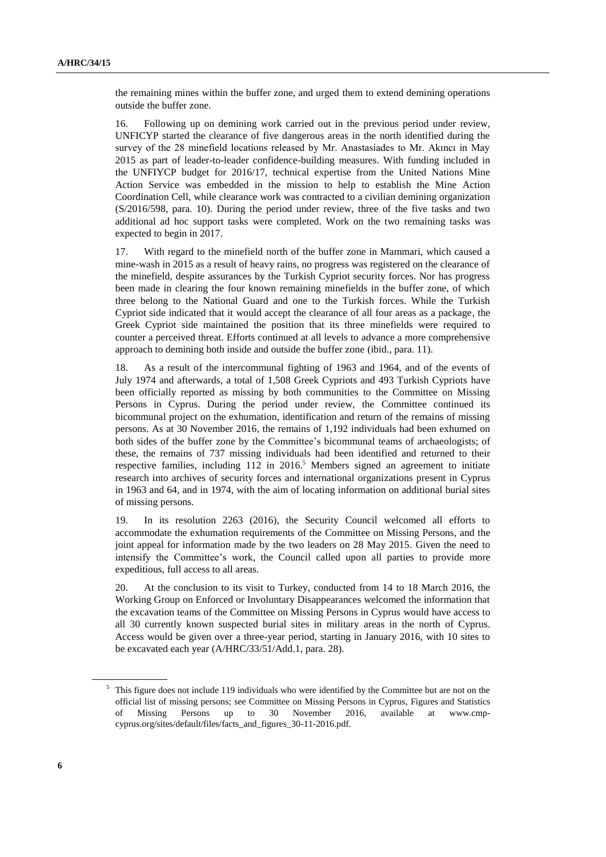the remaining mines within the buffer zone, and urged them to extend demining operations outside the buffer zone.

16. Following up on demining work carried out in the previous period under review, UNFICYP started the clearance of five dangerous areas in the north identified during the survey of the 28 minefield locations released by Mr. Anastasiades to Mr. Akıncı in May 2015 as part of leader-to-leader confidence-building measures. With funding included in the UNFIYCP budget for 2016/17, technical expertise from the United Nations Mine Action Service was embedded in the mission to help to establish the Mine Action Coordination Cell, while clearance work was contracted to a civilian demining organization (S/2016/598, para. 10). During the period under review, three of the five tasks and two additional ad hoc support tasks were completed. Work on the two remaining tasks was expected to begin in 2017.

17. With regard to the minefield north of the buffer zone in Mammari, which caused a mine-wash in 2015 as a result of heavy rains, no progress was registered on the clearance of the minefield, despite assurances by the Turkish Cypriot security forces. Nor has progress been made in clearing the four known remaining minefields in the buffer zone, of which three belong to the National Guard and one to the Turkish forces. While the Turkish Cypriot side indicated that it would accept the clearance of all four areas as a package, the Greek Cypriot side maintained the position that its three minefields were required to counter a perceived threat. Efforts continued at all levels to advance a more comprehensive approach to demining both inside and outside the buffer zone (ibid., para. 11).

18. As a result of the intercommunal fighting of 1963 and 1964, and of the events of July 1974 and afterwards, a total of 1,508 Greek Cypriots and 493 Turkish Cypriots have been officially reported as missing by both communities to the Committee on Missing Persons in Cyprus. During the period under review, the Committee continued its bicommunal project on the exhumation, identification and return of the remains of missing persons. As at 30 November 2016, the remains of 1,192 individuals had been exhumed on both sides of the buffer zone by the Committee's bicommunal teams of archaeologists; of these, the remains of 737 missing individuals had been identified and returned to their respective families, including 112 in 2016. <sup>5</sup> Members signed an agreement to initiate research into archives of security forces and international organizations present in Cyprus in 1963 and 64, and in 1974, with the aim of locating information on additional burial sites of missing persons.

19. In its resolution 2263 (2016), the Security Council welcomed all efforts to accommodate the exhumation requirements of the Committee on Missing Persons, and the joint appeal for information made by the two leaders on 28 May 2015. Given the need to intensify the Committee's work, the Council called upon all parties to provide more expeditious, full access to all areas.

20. At the conclusion to its visit to Turkey, conducted from 14 to 18 March 2016, the Working Group on Enforced or Involuntary Disappearances welcomed the information that the excavation teams of the Committee on Missing Persons in Cyprus would have access to all 30 currently known suspected burial sites in military areas in the north of Cyprus. Access would be given over a three-year period, starting in January 2016, with 10 sites to be excavated each year (A/HRC/33/51/Add.1, para. 28).

<sup>&</sup>lt;sup>5</sup> This figure does not include 119 individuals who were identified by the Committee but are not on the official list of missing persons; see Committee on Missing Persons in Cyprus, Figures and Statistics of Missing Persons up to 30 November 2016, available at www.cmpcyprus.org/sites/default/files/facts\_and\_figures\_30-11-2016.pdf.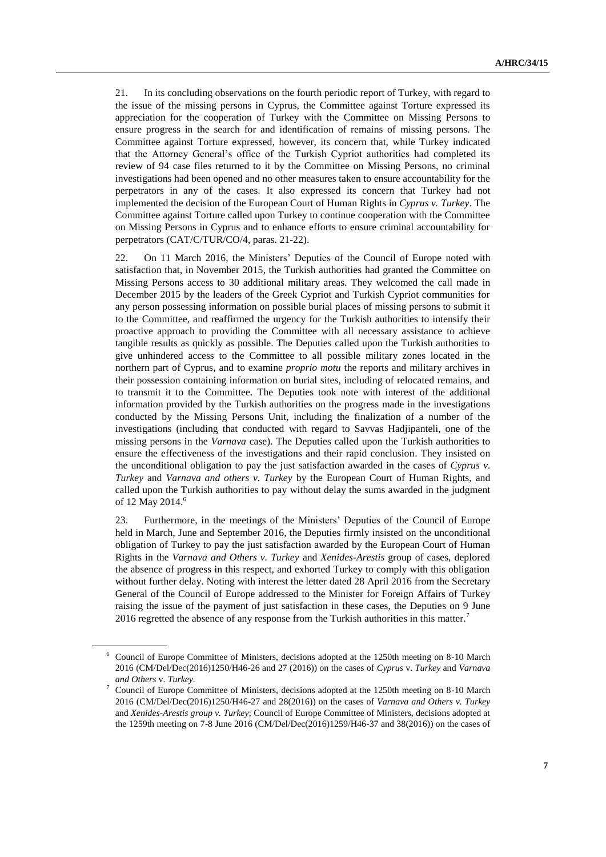21. In its concluding observations on the fourth periodic report of Turkey, with regard to the issue of the missing persons in Cyprus, the Committee against Torture expressed its appreciation for the cooperation of Turkey with the Committee on Missing Persons to ensure progress in the search for and identification of remains of missing persons. The Committee against Torture expressed, however, its concern that, while Turkey indicated that the Attorney General's office of the Turkish Cypriot authorities had completed its review of 94 case files returned to it by the Committee on Missing Persons, no criminal investigations had been opened and no other measures taken to ensure accountability for the perpetrators in any of the cases. It also expressed its concern that Turkey had not implemented the decision of the European Court of Human Rights in *Cyprus v. Turkey*. The Committee against Torture called upon Turkey to continue cooperation with the Committee on Missing Persons in Cyprus and to enhance efforts to ensure criminal accountability for perpetrators (CAT/C/TUR/CO/4, paras. 21-22).

22. On 11 March 2016, the Ministers' Deputies of the Council of Europe noted with satisfaction that, in November 2015, the Turkish authorities had granted the Committee on Missing Persons access to 30 additional military areas. They welcomed the call made in December 2015 by the leaders of the Greek Cypriot and Turkish Cypriot communities for any person possessing information on possible burial places of missing persons to submit it to the Committee, and reaffirmed the urgency for the Turkish authorities to intensify their proactive approach to providing the Committee with all necessary assistance to achieve tangible results as quickly as possible. The Deputies called upon the Turkish authorities to give unhindered access to the Committee to all possible military zones located in the northern part of Cyprus, and to examine *proprio motu* the reports and military archives in their possession containing information on burial sites, including of relocated remains, and to transmit it to the Committee. The Deputies took note with interest of the additional information provided by the Turkish authorities on the progress made in the investigations conducted by the Missing Persons Unit, including the finalization of a number of the investigations (including that conducted with regard to Savvas Hadjipanteli, one of the missing persons in the *Varnava* case). The Deputies called upon the Turkish authorities to ensure the effectiveness of the investigations and their rapid conclusion. They insisted on the unconditional obligation to pay the just satisfaction awarded in the cases of *Cyprus v. Turkey* and *Varnava and others v. Turkey* by the European Court of Human Rights, and called upon the Turkish authorities to pay without delay the sums awarded in the judgment of 12 May 2014. 6

23. Furthermore, in the meetings of the Ministers' Deputies of the Council of Europe held in March, June and September 2016, the Deputies firmly insisted on the unconditional obligation of Turkey to pay the just satisfaction awarded by the European Court of Human Rights in the *Varnava and Others v. Turkey* and *Xenides-Arestis* group of cases, deplored the absence of progress in this respect, and exhorted Turkey to comply with this obligation without further delay. Noting with interest the letter dated 28 April 2016 from the Secretary General of the Council of Europe addressed to the Minister for Foreign Affairs of Turkey raising the issue of the payment of just satisfaction in these cases, the Deputies on 9 June 2016 regretted the absence of any response from the Turkish authorities in this matter.<sup>7</sup>

<sup>6</sup> Council of Europe Committee of Ministers, decisions adopted at the 1250th meeting on 8-10 March 2016 (CM/Del/Dec(2016)1250/H46-26 and 27 (2016)) on the cases of *Cyprus* v. *Turkey* and *Varnava and Others* v. *Turkey.*

<sup>7</sup> Council of Europe Committee of Ministers, decisions adopted at the 1250th meeting on 8-10 March 2016 (CM/Del/Dec(2016)1250/H46-27 and 28(2016)) on the cases of *Varnava and Others v. Turkey*  and *Xenides-Arestis group v. Turkey*; Council of Europe Committee of Ministers, decisions adopted at the 1259th meeting on 7-8 June 2016 (CM/Del/Dec(2016)1259/H46-37 and 38(2016)) on the cases of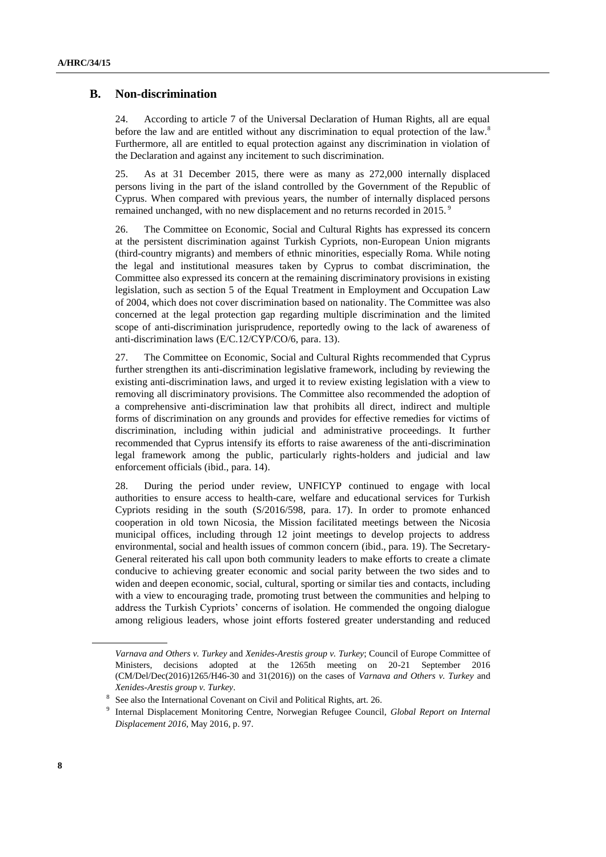#### **B. Non-discrimination**

24. According to article 7 of the Universal Declaration of Human Rights, all are equal before the law and are entitled without any discrimination to equal protection of the law.<sup>8</sup> Furthermore, all are entitled to equal protection against any discrimination in violation of the Declaration and against any incitement to such discrimination.

25. As at 31 December 2015, there were as many as 272,000 internally displaced persons living in the part of the island controlled by the Government of the Republic of Cyprus. When compared with previous years, the number of internally displaced persons remained unchanged, with no new displacement and no returns recorded in 2015.<sup>9</sup>

26. The Committee on Economic, Social and Cultural Rights has expressed its concern at the persistent discrimination against Turkish Cypriots, non-European Union migrants (third-country migrants) and members of ethnic minorities, especially Roma. While noting the legal and institutional measures taken by Cyprus to combat discrimination, the Committee also expressed its concern at the remaining discriminatory provisions in existing legislation, such as section 5 of the Equal Treatment in Employment and Occupation Law of 2004, which does not cover discrimination based on nationality. The Committee was also concerned at the legal protection gap regarding multiple discrimination and the limited scope of anti-discrimination jurisprudence, reportedly owing to the lack of awareness of anti-discrimination laws (E/C.12/CYP/CO/6, para. 13).

27. The Committee on Economic, Social and Cultural Rights recommended that Cyprus further strengthen its anti-discrimination legislative framework, including by reviewing the existing anti-discrimination laws, and urged it to review existing legislation with a view to removing all discriminatory provisions. The Committee also recommended the adoption of a comprehensive anti-discrimination law that prohibits all direct, indirect and multiple forms of discrimination on any grounds and provides for effective remedies for victims of discrimination, including within judicial and administrative proceedings. It further recommended that Cyprus intensify its efforts to raise awareness of the anti-discrimination legal framework among the public, particularly rights-holders and judicial and law enforcement officials (ibid., para. 14).

28. During the period under review, UNFICYP continued to engage with local authorities to ensure access to health-care, welfare and educational services for Turkish Cypriots residing in the south (S/2016/598, para. 17). In order to promote enhanced cooperation in old town Nicosia, the Mission facilitated meetings between the Nicosia municipal offices, including through 12 joint meetings to develop projects to address environmental, social and health issues of common concern (ibid., para. 19). The Secretary-General reiterated his call upon both community leaders to make efforts to create a climate conducive to achieving greater economic and social parity between the two sides and to widen and deepen economic, social, cultural, sporting or similar ties and contacts, including with a view to encouraging trade, promoting trust between the communities and helping to address the Turkish Cypriots' concerns of isolation. He commended the ongoing dialogue among religious leaders, whose joint efforts fostered greater understanding and reduced

*Varnava and Others v. Turkey* and *Xenides-Arestis group v. Turkey*; Council of Europe Committee of Ministers, decisions adopted at the 1265th meeting on 20-21 September 2016 (CM/Del/Dec(2016)1265/H46-30 and 31(2016)) on the cases of *Varnava and Others v. Turkey* and *Xenides-Arestis group v. Turkey*.

<sup>8</sup> See also the International Covenant on Civil and Political Rights, art. 26.

<sup>9</sup> Internal Displacement Monitoring Centre, Norwegian Refugee Council, *Global Report on Internal Displacement 2016*, May 2016, p. 97.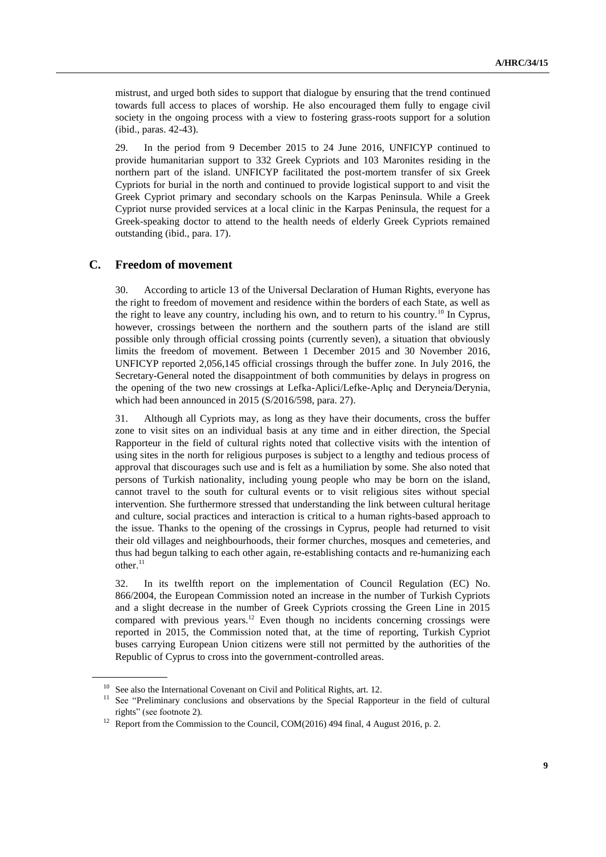mistrust, and urged both sides to support that dialogue by ensuring that the trend continued towards full access to places of worship. He also encouraged them fully to engage civil society in the ongoing process with a view to fostering grass-roots support for a solution (ibid., paras. 42-43).

29. In the period from 9 December 2015 to 24 June 2016, UNFICYP continued to provide humanitarian support to 332 Greek Cypriots and 103 Maronites residing in the northern part of the island. UNFICYP facilitated the post-mortem transfer of six Greek Cypriots for burial in the north and continued to provide logistical support to and visit the Greek Cypriot primary and secondary schools on the Karpas Peninsula. While a Greek Cypriot nurse provided services at a local clinic in the Karpas Peninsula, the request for a Greek-speaking doctor to attend to the health needs of elderly Greek Cypriots remained outstanding (ibid., para. 17).

#### **C. Freedom of movement**

30. According to article 13 of the Universal Declaration of Human Rights, everyone has the right to freedom of movement and residence within the borders of each State, as well as the right to leave any country, including his own, and to return to his country.<sup>10</sup> In Cyprus, however, crossings between the northern and the southern parts of the island are still possible only through official crossing points (currently seven), a situation that obviously limits the freedom of movement. Between 1 December 2015 and 30 November 2016, UNFICYP reported 2,056,145 official crossings through the buffer zone. In July 2016, the Secretary-General noted the disappointment of both communities by delays in progress on the opening of the two new crossings at Lefka-Aplici/Lefke-Aplıç and Deryneia/Derynia, which had been announced in 2015 (S/2016/598, para. 27).

31. Although all Cypriots may, as long as they have their documents, cross the buffer zone to visit sites on an individual basis at any time and in either direction, the Special Rapporteur in the field of cultural rights noted that collective visits with the intention of using sites in the north for religious purposes is subject to a lengthy and tedious process of approval that discourages such use and is felt as a humiliation by some. She also noted that persons of Turkish nationality, including young people who may be born on the island, cannot travel to the south for cultural events or to visit religious sites without special intervention. She furthermore stressed that understanding the link between cultural heritage and culture, social practices and interaction is critical to a human rights-based approach to the issue. Thanks to the opening of the crossings in Cyprus, people had returned to visit their old villages and neighbourhoods, their former churches, mosques and cemeteries, and thus had begun talking to each other again, re-establishing contacts and re-humanizing each  $other.<sup>11</sup>$ 

32. In its twelfth report on the implementation of Council Regulation (EC) No. 866/2004, the European Commission noted an increase in the number of Turkish Cypriots and a slight decrease in the number of Greek Cypriots crossing the Green Line in 2015 compared with previous years.<sup>12</sup> Even though no incidents concerning crossings were reported in 2015, the Commission noted that, at the time of reporting, Turkish Cypriot buses carrying European Union citizens were still not permitted by the authorities of the Republic of Cyprus to cross into the government-controlled areas.

<sup>&</sup>lt;sup>10</sup> See also the International Covenant on Civil and Political Rights, art. 12.

<sup>&</sup>lt;sup>11</sup> See "Preliminary conclusions and observations by the Special Rapporteur in the field of cultural rights" (see footnote 2).

<sup>&</sup>lt;sup>12</sup> Report from the Commission to the Council, COM(2016) 494 final, 4 August 2016, p. 2.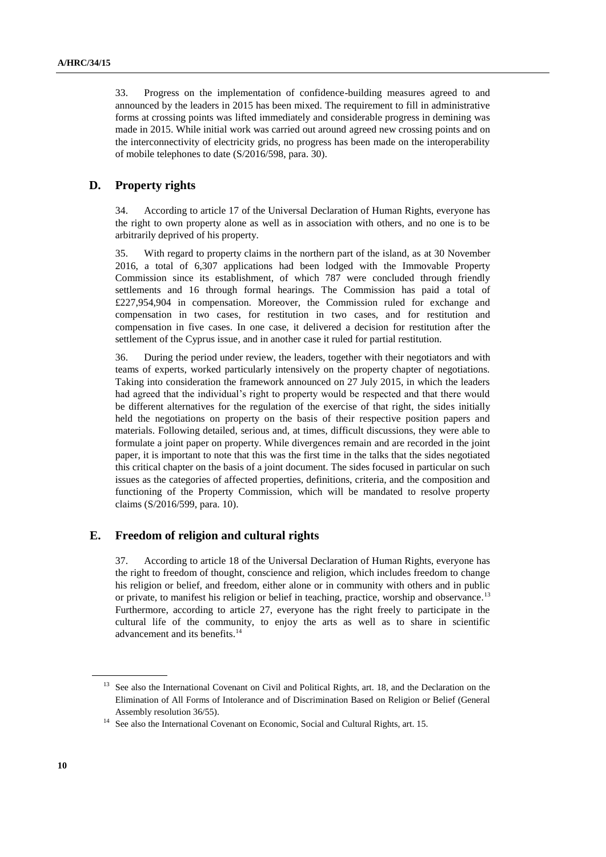33. Progress on the implementation of confidence-building measures agreed to and announced by the leaders in 2015 has been mixed. The requirement to fill in administrative forms at crossing points was lifted immediately and considerable progress in demining was made in 2015. While initial work was carried out around agreed new crossing points and on the interconnectivity of electricity grids, no progress has been made on the interoperability of mobile telephones to date (S/2016/598, para. 30).

#### **D. Property rights**

34. According to article 17 of the Universal Declaration of Human Rights, everyone has the right to own property alone as well as in association with others, and no one is to be arbitrarily deprived of his property.

35. With regard to property claims in the northern part of the island, as at 30 November 2016, a total of 6,307 applications had been lodged with the Immovable Property Commission since its establishment, of which 787 were concluded through friendly settlements and 16 through formal hearings. The Commission has paid a total of £227,954,904 in compensation. Moreover, the Commission ruled for exchange and compensation in two cases, for restitution in two cases, and for restitution and compensation in five cases. In one case, it delivered a decision for restitution after the settlement of the Cyprus issue, and in another case it ruled for partial restitution.

36. During the period under review, the leaders, together with their negotiators and with teams of experts, worked particularly intensively on the property chapter of negotiations. Taking into consideration the framework announced on 27 July 2015, in which the leaders had agreed that the individual's right to property would be respected and that there would be different alternatives for the regulation of the exercise of that right, the sides initially held the negotiations on property on the basis of their respective position papers and materials. Following detailed, serious and, at times, difficult discussions, they were able to formulate a joint paper on property. While divergences remain and are recorded in the joint paper, it is important to note that this was the first time in the talks that the sides negotiated this critical chapter on the basis of a joint document. The sides focused in particular on such issues as the categories of affected properties, definitions, criteria, and the composition and functioning of the Property Commission, which will be mandated to resolve property claims (S/2016/599, para. 10).

#### **E. Freedom of religion and cultural rights**

37. According to article 18 of the Universal Declaration of Human Rights, everyone has the right to freedom of thought, conscience and religion, which includes freedom to change his religion or belief, and freedom, either alone or in community with others and in public or private, to manifest his religion or belief in teaching, practice, worship and observance.<sup>13</sup> Furthermore, according to article 27, everyone has the right freely to participate in the cultural life of the community, to enjoy the arts as well as to share in scientific advancement and its benefits.<sup>14</sup>

<sup>&</sup>lt;sup>13</sup> See also the International Covenant on Civil and Political Rights, art. 18, and the Declaration on the Elimination of All Forms of Intolerance and of Discrimination Based on Religion or Belief (General Assembly resolution 36/55).

<sup>&</sup>lt;sup>14</sup> See also the International Covenant on Economic, Social and Cultural Rights, art. 15.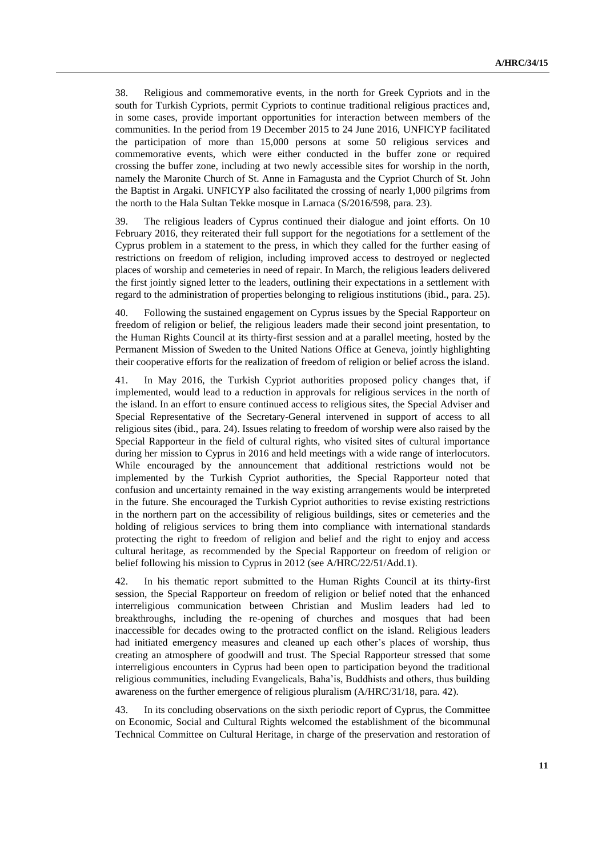38. Religious and commemorative events, in the north for Greek Cypriots and in the south for Turkish Cypriots, permit Cypriots to continue traditional religious practices and, in some cases, provide important opportunities for interaction between members of the communities. In the period from 19 December 2015 to 24 June 2016, UNFICYP facilitated the participation of more than 15,000 persons at some 50 religious services and commemorative events, which were either conducted in the buffer zone or required crossing the buffer zone, including at two newly accessible sites for worship in the north, namely the Maronite Church of St. Anne in Famagusta and the Cypriot Church of St. John the Baptist in Argaki. UNFICYP also facilitated the crossing of nearly 1,000 pilgrims from the north to the Hala Sultan Tekke mosque in Larnaca (S/2016/598, para. 23).

39. The religious leaders of Cyprus continued their dialogue and joint efforts. On 10 February 2016, they reiterated their full support for the negotiations for a settlement of the Cyprus problem in a statement to the press, in which they called for the further easing of restrictions on freedom of religion, including improved access to destroyed or neglected places of worship and cemeteries in need of repair. In March, the religious leaders delivered the first jointly signed letter to the leaders, outlining their expectations in a settlement with regard to the administration of properties belonging to religious institutions (ibid., para. 25).

40. Following the sustained engagement on Cyprus issues by the Special Rapporteur on freedom of religion or belief, the religious leaders made their second joint presentation, to the Human Rights Council at its thirty-first session and at a parallel meeting, hosted by the Permanent Mission of Sweden to the United Nations Office at Geneva, jointly highlighting their cooperative efforts for the realization of freedom of religion or belief across the island.

In May 2016, the Turkish Cypriot authorities proposed policy changes that, if implemented, would lead to a reduction in approvals for religious services in the north of the island. In an effort to ensure continued access to religious sites, the Special Adviser and Special Representative of the Secretary-General intervened in support of access to all religious sites (ibid., para. 24). Issues relating to freedom of worship were also raised by the Special Rapporteur in the field of cultural rights, who visited sites of cultural importance during her mission to Cyprus in 2016 and held meetings with a wide range of interlocutors. While encouraged by the announcement that additional restrictions would not be implemented by the Turkish Cypriot authorities, the Special Rapporteur noted that confusion and uncertainty remained in the way existing arrangements would be interpreted in the future. She encouraged the Turkish Cypriot authorities to revise existing restrictions in the northern part on the accessibility of religious buildings, sites or cemeteries and the holding of religious services to bring them into compliance with international standards protecting the right to freedom of religion and belief and the right to enjoy and access cultural heritage, as recommended by the Special Rapporteur on freedom of religion or belief following his mission to Cyprus in 2012 (see A/HRC/22/51/Add.1).

42. In his thematic report submitted to the Human Rights Council at its thirty-first session, the Special Rapporteur on freedom of religion or belief noted that the enhanced interreligious communication between Christian and Muslim leaders had led to breakthroughs, including the re-opening of churches and mosques that had been inaccessible for decades owing to the protracted conflict on the island. Religious leaders had initiated emergency measures and cleaned up each other's places of worship, thus creating an atmosphere of goodwill and trust. The Special Rapporteur stressed that some interreligious encounters in Cyprus had been open to participation beyond the traditional religious communities, including Evangelicals, Baha'is, Buddhists and others, thus building awareness on the further emergence of religious pluralism (A/HRC/31/18, para. 42).

43. In its concluding observations on the sixth periodic report of Cyprus, the Committee on Economic, Social and Cultural Rights welcomed the establishment of the bicommunal Technical Committee on Cultural Heritage, in charge of the preservation and restoration of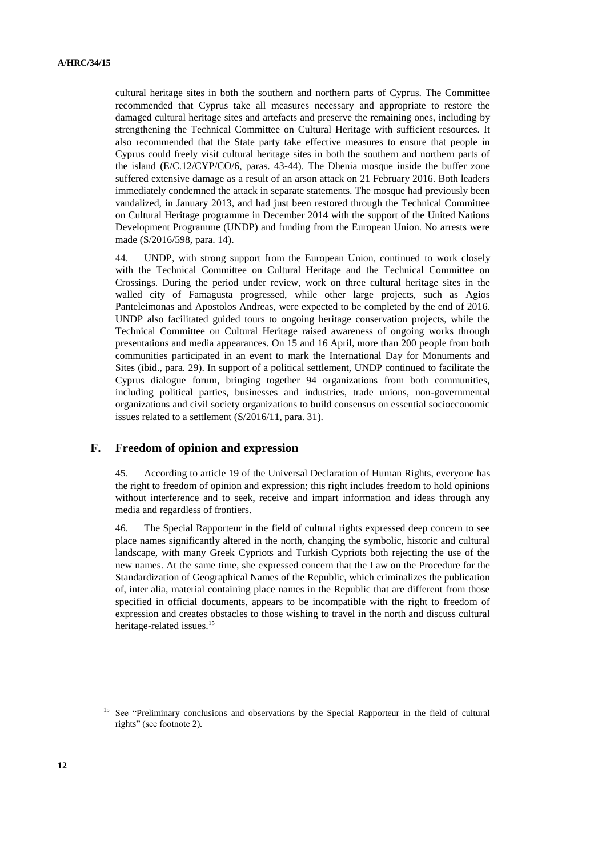cultural heritage sites in both the southern and northern parts of Cyprus. The Committee recommended that Cyprus take all measures necessary and appropriate to restore the damaged cultural heritage sites and artefacts and preserve the remaining ones, including by strengthening the Technical Committee on Cultural Heritage with sufficient resources. It also recommended that the State party take effective measures to ensure that people in Cyprus could freely visit cultural heritage sites in both the southern and northern parts of the island (E/C.12/CYP/CO/6, paras. 43-44). The Dhenia mosque inside the buffer zone suffered extensive damage as a result of an arson attack on 21 February 2016. Both leaders immediately condemned the attack in separate statements. The mosque had previously been vandalized, in January 2013, and had just been restored through the Technical Committee on Cultural Heritage programme in December 2014 with the support of the United Nations Development Programme (UNDP) and funding from the European Union. No arrests were made (S/2016/598, para. 14).

44. UNDP, with strong support from the European Union, continued to work closely with the Technical Committee on Cultural Heritage and the Technical Committee on Crossings. During the period under review, work on three cultural heritage sites in the walled city of Famagusta progressed, while other large projects, such as Agios Panteleimonas and Apostolos Andreas, were expected to be completed by the end of 2016. UNDP also facilitated guided tours to ongoing heritage conservation projects, while the Technical Committee on Cultural Heritage raised awareness of ongoing works through presentations and media appearances. On 15 and 16 April, more than 200 people from both communities participated in an event to mark the International Day for Monuments and Sites (ibid., para. 29). In support of a political settlement, UNDP continued to facilitate the Cyprus dialogue forum, bringing together 94 organizations from both communities, including political parties, businesses and industries, trade unions, non-governmental organizations and civil society organizations to build consensus on essential socioeconomic issues related to a settlement (S/2016/11, para. 31).

#### **F. Freedom of opinion and expression**

45. According to article 19 of the Universal Declaration of Human Rights, everyone has the right to freedom of opinion and expression; this right includes freedom to hold opinions without interference and to seek, receive and impart information and ideas through any media and regardless of frontiers.

46. The Special Rapporteur in the field of cultural rights expressed deep concern to see place names significantly altered in the north, changing the symbolic, historic and cultural landscape, with many Greek Cypriots and Turkish Cypriots both rejecting the use of the new names. At the same time, she expressed concern that the Law on the Procedure for the Standardization of Geographical Names of the Republic, which criminalizes the publication of, inter alia, material containing place names in the Republic that are different from those specified in official documents, appears to be incompatible with the right to freedom of expression and creates obstacles to those wishing to travel in the north and discuss cultural heritage-related issues.<sup>15</sup>

<sup>&</sup>lt;sup>15</sup> See "Preliminary conclusions and observations by the Special Rapporteur in the field of cultural rights" (see footnote 2).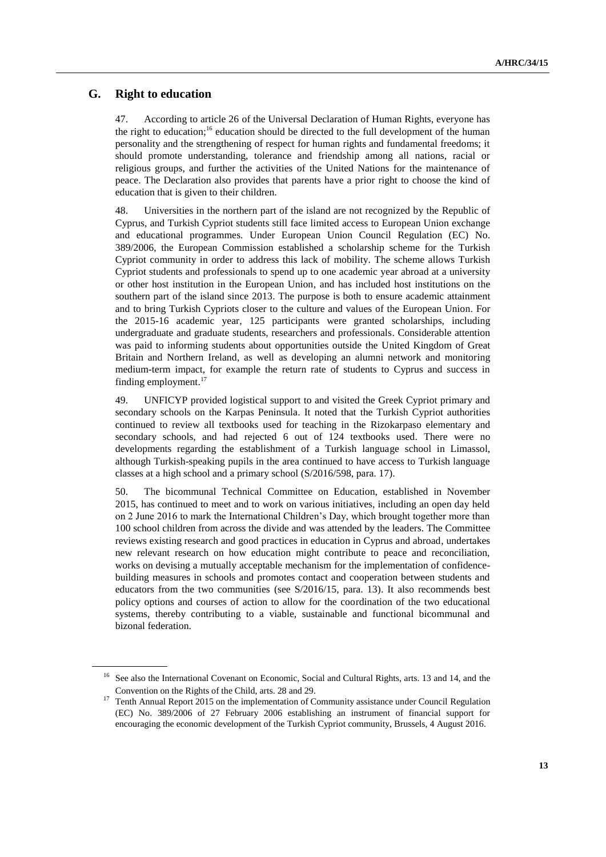### **G. Right to education**

47. According to article 26 of the Universal Declaration of Human Rights, everyone has the right to education; <sup>16</sup> education should be directed to the full development of the human personality and the strengthening of respect for human rights and fundamental freedoms; it should promote understanding, tolerance and friendship among all nations, racial or religious groups, and further the activities of the United Nations for the maintenance of peace. The Declaration also provides that parents have a prior right to choose the kind of education that is given to their children.

48. Universities in the northern part of the island are not recognized by the Republic of Cyprus, and Turkish Cypriot students still face limited access to European Union exchange and educational programmes. Under European Union Council Regulation (EC) No. 389/2006, the European Commission established a scholarship scheme for the Turkish Cypriot community in order to address this lack of mobility. The scheme allows Turkish Cypriot students and professionals to spend up to one academic year abroad at a university or other host institution in the European Union, and has included host institutions on the southern part of the island since 2013. The purpose is both to ensure academic attainment and to bring Turkish Cypriots closer to the culture and values of the European Union. For the 2015-16 academic year, 125 participants were granted scholarships, including undergraduate and graduate students, researchers and professionals. Considerable attention was paid to informing students about opportunities outside the United Kingdom of Great Britain and Northern Ireland, as well as developing an alumni network and monitoring medium-term impact, for example the return rate of students to Cyprus and success in finding employment. 17

49. UNFICYP provided logistical support to and visited the Greek Cypriot primary and secondary schools on the Karpas Peninsula. It noted that the Turkish Cypriot authorities continued to review all textbooks used for teaching in the Rizokarpaso elementary and secondary schools, and had rejected 6 out of 124 textbooks used. There were no developments regarding the establishment of a Turkish language school in Limassol, although Turkish-speaking pupils in the area continued to have access to Turkish language classes at a high school and a primary school (S/2016/598, para. 17).

50. The bicommunal Technical Committee on Education, established in November 2015, has continued to meet and to work on various initiatives, including an open day held on 2 June 2016 to mark the International Children's Day, which brought together more than 100 school children from across the divide and was attended by the leaders. The Committee reviews existing research and good practices in education in Cyprus and abroad, undertakes new relevant research on how education might contribute to peace and reconciliation, works on devising a mutually acceptable mechanism for the implementation of confidencebuilding measures in schools and promotes contact and cooperation between students and educators from the two communities (see S/2016/15, para. 13). It also recommends best policy options and courses of action to allow for the coordination of the two educational systems, thereby contributing to a viable, sustainable and functional bicommunal and bizonal federation.

<sup>&</sup>lt;sup>16</sup> See also the International Covenant on Economic, Social and Cultural Rights, arts. 13 and 14, and the Convention on the Rights of the Child, arts. 28 and 29.

<sup>17</sup> Tenth Annual Report 2015 on the implementation of Community assistance under Council Regulation (EC) No. 389/2006 of 27 February 2006 establishing an instrument of financial support for encouraging the economic development of the Turkish Cypriot community, Brussels, 4 August 2016.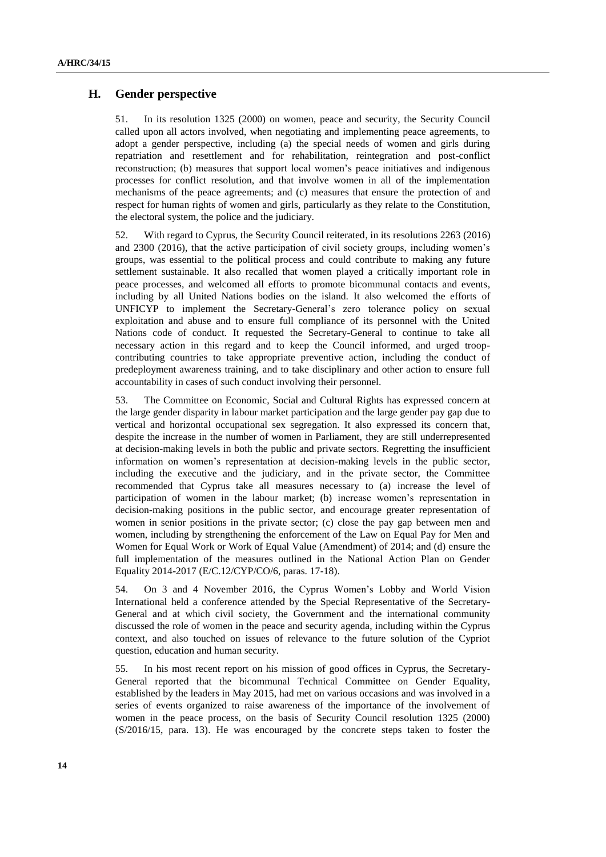### **H. Gender perspective**

51. In its resolution 1325 (2000) on women, peace and security, the Security Council called upon all actors involved, when negotiating and implementing peace agreements, to adopt a gender perspective, including (a) the special needs of women and girls during repatriation and resettlement and for rehabilitation, reintegration and post-conflict reconstruction; (b) measures that support local women's peace initiatives and indigenous processes for conflict resolution, and that involve women in all of the implementation mechanisms of the peace agreements; and (c) measures that ensure the protection of and respect for human rights of women and girls, particularly as they relate to the Constitution, the electoral system, the police and the judiciary.

52. With regard to Cyprus, the Security Council reiterated, in its resolutions 2263 (2016) and 2300 (2016), that the active participation of civil society groups, including women's groups, was essential to the political process and could contribute to making any future settlement sustainable. It also recalled that women played a critically important role in peace processes, and welcomed all efforts to promote bicommunal contacts and events, including by all United Nations bodies on the island. It also welcomed the efforts of UNFICYP to implement the Secretary-General's zero tolerance policy on sexual exploitation and abuse and to ensure full compliance of its personnel with the United Nations code of conduct. It requested the Secretary-General to continue to take all necessary action in this regard and to keep the Council informed, and urged troopcontributing countries to take appropriate preventive action, including the conduct of predeployment awareness training, and to take disciplinary and other action to ensure full accountability in cases of such conduct involving their personnel.

53. The Committee on Economic, Social and Cultural Rights has expressed concern at the large gender disparity in labour market participation and the large gender pay gap due to vertical and horizontal occupational sex segregation. It also expressed its concern that, despite the increase in the number of women in Parliament, they are still underrepresented at decision-making levels in both the public and private sectors. Regretting the insufficient information on women's representation at decision-making levels in the public sector, including the executive and the judiciary, and in the private sector, the Committee recommended that Cyprus take all measures necessary to (a) increase the level of participation of women in the labour market; (b) increase women's representation in decision-making positions in the public sector, and encourage greater representation of women in senior positions in the private sector; (c) close the pay gap between men and women, including by strengthening the enforcement of the Law on Equal Pay for Men and Women for Equal Work or Work of Equal Value (Amendment) of 2014; and (d) ensure the full implementation of the measures outlined in the National Action Plan on Gender Equality 2014-2017 (E/C.12/CYP/CO/6, paras. 17-18).

54. On 3 and 4 November 2016, the Cyprus Women's Lobby and World Vision International held a conference attended by the Special Representative of the Secretary-General and at which civil society, the Government and the international community discussed the role of women in the peace and security agenda, including within the Cyprus context, and also touched on issues of relevance to the future solution of the Cypriot question, education and human security.

55. In his most recent report on his mission of good offices in Cyprus, the Secretary-General reported that the bicommunal Technical Committee on Gender Equality, established by the leaders in May 2015, had met on various occasions and was involved in a series of events organized to raise awareness of the importance of the involvement of women in the peace process, on the basis of Security Council resolution 1325 (2000) (S/2016/15, para. 13). He was encouraged by the concrete steps taken to foster the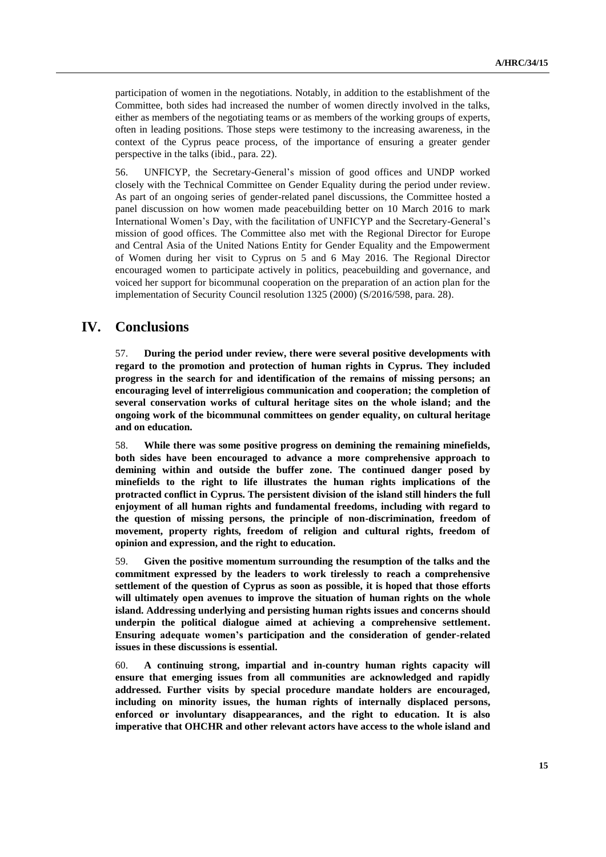participation of women in the negotiations. Notably, in addition to the establishment of the Committee, both sides had increased the number of women directly involved in the talks, either as members of the negotiating teams or as members of the working groups of experts, often in leading positions. Those steps were testimony to the increasing awareness, in the context of the Cyprus peace process, of the importance of ensuring a greater gender perspective in the talks (ibid., para. 22).

56. UNFICYP, the Secretary-General's mission of good offices and UNDP worked closely with the Technical Committee on Gender Equality during the period under review. As part of an ongoing series of gender-related panel discussions, the Committee hosted a panel discussion on how women made peacebuilding better on 10 March 2016 to mark International Women's Day, with the facilitation of UNFICYP and the Secretary-General's mission of good offices. The Committee also met with the Regional Director for Europe and Central Asia of the United Nations Entity for Gender Equality and the Empowerment of Women during her visit to Cyprus on 5 and 6 May 2016. The Regional Director encouraged women to participate actively in politics, peacebuilding and governance, and voiced her support for bicommunal cooperation on the preparation of an action plan for the implementation of Security Council resolution 1325 (2000) (S/2016/598, para. 28).

### **IV. Conclusions**

57. **During the period under review, there were several positive developments with regard to the promotion and protection of human rights in Cyprus. They included progress in the search for and identification of the remains of missing persons; an encouraging level of interreligious communication and cooperation; the completion of several conservation works of cultural heritage sites on the whole island; and the ongoing work of the bicommunal committees on gender equality, on cultural heritage and on education.**

58. **While there was some positive progress on demining the remaining minefields, both sides have been encouraged to advance a more comprehensive approach to demining within and outside the buffer zone. The continued danger posed by minefields to the right to life illustrates the human rights implications of the protracted conflict in Cyprus. The persistent division of the island still hinders the full enjoyment of all human rights and fundamental freedoms, including with regard to the question of missing persons, the principle of non-discrimination, freedom of movement, property rights, freedom of religion and cultural rights, freedom of opinion and expression, and the right to education.**

59. **Given the positive momentum surrounding the resumption of the talks and the commitment expressed by the leaders to work tirelessly to reach a comprehensive settlement of the question of Cyprus as soon as possible, it is hoped that those efforts will ultimately open avenues to improve the situation of human rights on the whole island. Addressing underlying and persisting human rights issues and concerns should underpin the political dialogue aimed at achieving a comprehensive settlement. Ensuring adequate women's participation and the consideration of gender-related issues in these discussions is essential.**

60. **A continuing strong, impartial and in-country human rights capacity will ensure that emerging issues from all communities are acknowledged and rapidly addressed. Further visits by special procedure mandate holders are encouraged, including on minority issues, the human rights of internally displaced persons, enforced or involuntary disappearances, and the right to education. It is also imperative that OHCHR and other relevant actors have access to the whole island and**